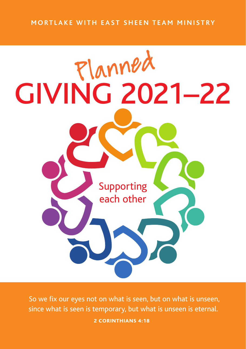## **MORTLAKE WITH EAST SHEEN TEAM MINISTRY**



 So we fix our eyes not on what is seen, but on what is unseen, since what is seen is temporary, but what is unseen is eternal. 2 CORINTHIANS 4:18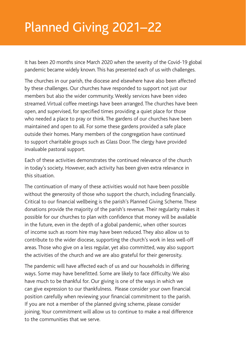# Planned Giving 2021–22

It has been 20 months since March 2020 when the severity of the Covid-19 global pandemic became widely known. This has presented each of us with challenges.

The churches in our parish, the diocese and elsewhere have also been affected by these challenges. Our churches have responded to support not just our members but also the wider community. Weekly services have been video streamed. Virtual coffee meetings have been arranged. The churches have been open, and supervised, for specified times providing a quiet place for those who needed a place to pray or think. The gardens of our churches have been maintained and open to all. For some these gardens provided a safe place outside their homes. Many members of the congregation have continued to support charitable groups such as Glass Door. The clergy have provided invaluable pastoral support.

Each of these activities demonstrates the continued relevance of the church in today's society. However, each activity has been given extra relevance in this situation.

The continuation of many of these activities would not have been possible without the generosity of those who support the church, including financially. Critical to our financial wellbeing is the parish's Planned Giving Scheme. These donations provide the majority of the parish's revenue. Their regularity makes it possible for our churches to plan with confidence that money will be available in the future, even in the depth of a global pandemic, when other sources of income such as room hire may have been reduced. They also allow us to contribute to the wider diocese, supporting the church's work in less well-off areas. Those who give on a less regular, yet also committed, way also support the activities of the church and we are also grateful for their generosity.

The pandemic will have affected each of us and our households in differing ways. Some may have benefitted. Some are likely to face difficulty. We also have much to be thankful for. Our giving is one of the ways in which we can give expression to our thankfulness. Please consider your own financial position carefully when reviewing your financial commitment to the parish. If you are not a member of the planned giving scheme, please consider joining. Your commitment will allow us to continue to make a real difference to the communities that we serve.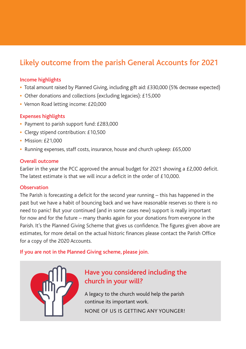## Likely outcome from the parish General Accounts for 2021

## Income highlights

- Total amount raised by Planned Giving, including gift aid: £330,000 (5% decrease expected)
- Other donations and collections (excluding legacies): £15,000
- Vernon Road letting income: £20,000

## Expenses highlights

- Payment to parish support fund: £283,000
- Clergy stipend contribution: £10,500
- Mission: £21,000
- Running expenses, staff costs, insurance, house and church upkeep: £65,000

## Overall outcome

Earlier in the year the PCC approved the annual budget for 2021 showing a £2,000 deficit. The latest estimate is that we will incur a deficit in the order of £10,000.

## **Observation**

The Parish is forecasting a deficit for the second year running – this has happened in the past but we have a habit of bouncing back and we have reasonable reserves so there is no need to panic! But your continued (and in some cases new) support is really important for now and for the future – many thanks again for your donations from everyone in the Parish. It's the Planned Giving Scheme that gives us confidence. The figures given above are estimates, for more detail on the actual historic finances please contact the Parish Office for a copy of the 2020 Accounts.

## If you are not in the Planned Giving scheme, please join.



## Have you considered including the church in your will?

A legacy to the church would help the parish continue its important work. NONE OF US IS GETTING ANY YOUNGER!